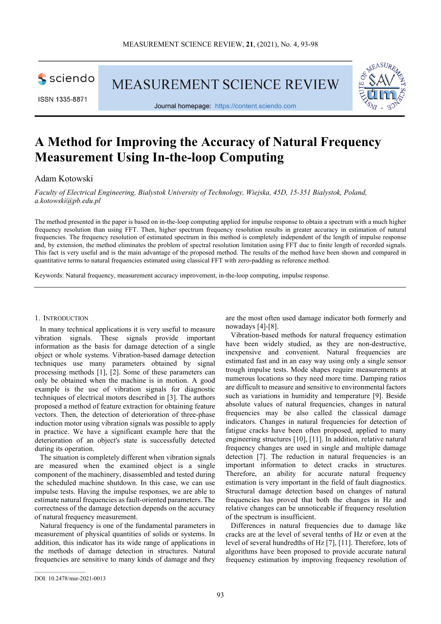sciendo

ISSN 1335-8871

MEASUREMENT SCIENCE REVIEW



Journal homepage: [https://content.sciendo.com](https://content.sciendo.com/view/journals/msr/msr-overview.xml)

# **A Method for Improving the Accuracy of Natural Frequency Measurement Using In-the-loop Computing**

Adam Kotowski

*Faculty of Electrical Engineering, Bialystok University of Technology, Wiejska, 45D, 15-351 Bialystok, Poland, a.kotowski@pb.edu.pl*

The method presented in the paper is based on in-the-loop computing applied for impulse response to obtain a spectrum with a much higher frequency resolution than using FFT. Then, higher spectrum frequency resolution results in greater accuracy in estimation of natural frequencies. The frequency resolution of estimated spectrum in this method is completely independent of the length of impulse response and, by extension, the method eliminates the problem of spectral resolution limitation using FFT due to finite length of recorded signals. This fact is very useful and is the main advantage of the proposed method. The results of the method have been shown and compared in quantitative terms to natural frequencies estimated using classical FFT with zero-padding as reference method.

Keywords: Natural frequency, measurement accuracy improvement, in-the-loop computing, impulse response.

#### 1. INTRODUCTION

In many technical applications it is very useful to measure vibration signals. These signals provide important information as the basis for damage detection of a single object or whole systems. Vibration-based damage detection techniques use many parameters obtained by signal processing methods [1], [2]. Some of these parameters can only be obtained when the machine is in motion. A good example is the use of vibration signals for diagnostic techniques of electrical motors described in [3]. The authors proposed a method of feature extraction for obtaining feature vectors. Then, the detection of deterioration of three-phase induction motor using vibration signals was possible to apply in practice. We have a significant example here that the deterioration of an object's state is successfully detected during its operation.

The situation is completely different when vibration signals are measured when the examined object is a single component of the machinery, disassembled and tested during the scheduled machine shutdown. In this case, we can use impulse tests. Having the impulse responses, we are able to estimate natural frequencies as fault-oriented parameters. The correctness of the damage detection depends on the accuracy of natural frequency measurement.

Natural frequency is one of the fundamental parameters in measurement of physical quantities of solids or systems. In addition, this indicator has its wide range of applications in the methods of damage detection in structures. Natural frequencies are sensitive to many kinds of damage and they are the most often used damage indicator both formerly and nowadays [4]-[8].

Vibration-based methods for natural frequency estimation have been widely studied, as they are non-destructive, inexpensive and convenient. Natural frequencies are estimated fast and in an easy way using only a single sensor trough impulse tests. Mode shapes require measurements at numerous locations so they need more time. Damping ratios are difficult to measure and sensitive to environmental factors such as variations in humidity and temperature [9]. Beside absolute values of natural frequencies, changes in natural frequencies may be also called the classical damage indicators. Changes in natural frequencies for detection of fatigue cracks have been often proposed, applied to many engineering structures [10], [11]. In addition, relative natural frequency changes are used in single and multiple damage detection [7]. The reduction in natural frequencies is an important information to detect cracks in structures. Therefore, an ability for accurate natural frequency estimation is very important in the field of fault diagnostics. Structural damage detection based on changes of natural frequencies has proved that both the changes in Hz and relative changes can be unnoticeable if frequency resolution of the spectrum is insufficient.

Differences in natural frequencies due to damage like cracks are at the level of several tenths of Hz or even at the level of several hundredths of Hz [7], [11]. Therefore, lots of algorithms have been proposed to provide accurate natural frequency estimation by improving frequency resolution of

 $\mathcal{L}_\text{max}$  and  $\mathcal{L}_\text{max}$  and  $\mathcal{L}_\text{max}$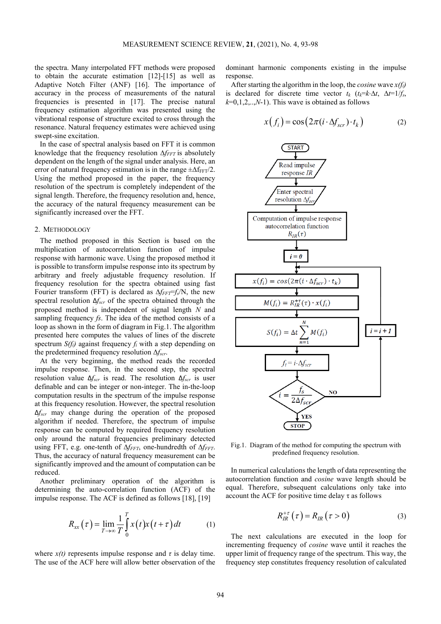the spectra. Many interpolated FFT methods were proposed to obtain the accurate estimation [12]-[15] as well as Adaptive Notch Filter (ANF) [16]. The importance of accuracy in the process of measurements of the natural frequencies is presented in [17]. The precise natural frequency estimation algorithm was presented using the vibrational response of structure excited to cross through the resonance. Natural frequency estimates were achieved using swept-sine excitation.

In the case of spectral analysis based on FFT it is common knowledge that the frequency resolution ∆*f<sub>FFT</sub>* is absolutely dependent on the length of the signal under analysis. Here, an error of natural frequency estimation is in the range  $\pm \Delta f_{FFT}/2$ . Using the method proposed in the paper, the frequency resolution of the spectrum is completely independent of the signal length. Therefore, the frequency resolution and, hence, the accuracy of the natural frequency measurement can be significantly increased over the FFT.

#### 2. METHODOLOGY

The method proposed in this Section is based on the multiplication of autocorrelation function of impulse response with harmonic wave. Using the proposed method it is possible to transform impulse response into its spectrum by arbitrary and freely adjustable frequency resolution. If frequency resolution for the spectra obtained using fast Fourier transform (FFT) is declared as ∆*fFFT*=*fs*/N, the new spectral resolution Δ*fscr* of the spectra obtained through the proposed method is independent of signal length *N* and sampling frequency *fs*. The idea of the method consists of a loop as shown in the form of diagram in Fig.1. The algorithm presented here computes the values of lines of the discrete spectrum  $S(f_i)$  against frequency  $f_i$  with a step depending on the predetermined frequency resolution Δ*fscr*.

At the very beginning, the method reads the recorded impulse response. Then, in the second step, the spectral resolution value Δ*fscr* is read. The resolution Δ*fscr* is user definable and can be integer or non-integer. The in-the-loop computation results in the spectrum of the impulse response at this frequency resolution. However, the spectral resolution Δ*fscr* may change during the operation of the proposed algorithm if needed. Therefore, the spectrum of impulse response can be computed by required frequency resolution only around the natural frequencies preliminary detected using FFT, e.g. one-tenth of Δ*f<sub>FFT</sub>*, one-hundredth of Δ*f<sub>FFT</sub>*. Thus, the accuracy of natural frequency measurement can be significantly improved and the amount of computation can be reduced.

Another preliminary operation of the algorithm is determining the auto-correlation function (ACF) of the impulse response. The ACF is defined as follows [18], [19]

$$
R_{xx}\left(\tau\right) = \lim_{T \to \infty} \frac{1}{T} \int_{0}^{T} x\left(t\right) x\left(t + \tau\right) dt \tag{1}
$$

where  $x(t)$  represents impulse response and  $\tau$  is delay time. The use of the ACF here will allow better observation of the dominant harmonic components existing in the impulse response.

After starting the algorithm in the loop, the *cosine* wave *x(fi)* is declared for discrete time vector  $t_k$  ( $t_k = k \Delta t$ ,  $\Delta t = 1/f_s$ ,  $k=0,1,2,...,N-1$ . This wave is obtained as follows

$$
x(f_i) = \cos(2\pi(i \cdot \Delta f_{scr}) \cdot t_k)
$$
 (2)



Fig.1. Diagram of the method for computing the spectrum with predefined frequency resolution.

In numerical calculations the length of data representing the autocorrelation function and *cosine* wave length should be equal. Therefore, subsequent calculations only take into account the ACF for positive time delay  $\tau$  as follows

$$
R_{IR}^{+\tau}\left(\tau\right) = R_{IR}\left(\tau > 0\right) \tag{3}
$$

The next calculations are executed in the loop for incrementing frequency of *cosine* wave until it reaches the upper limit of frequency range of the spectrum. This way, the frequency step constitutes frequency resolution of calculated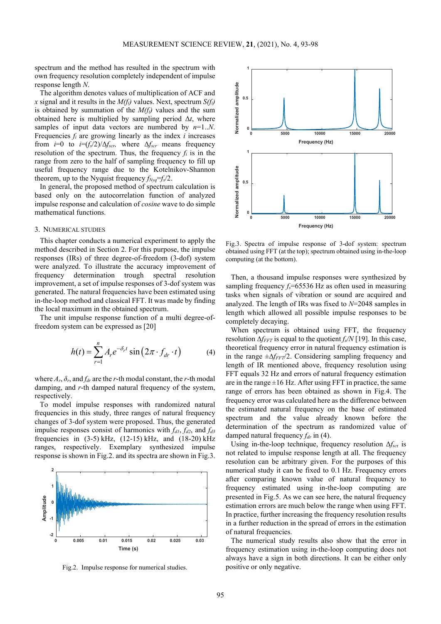spectrum and the method has resulted in the spectrum with own frequency resolution completely independent of impulse response length *N*.

The algorithm denotes values of multiplication of ACF and *x* signal and it results in the *M(fi)* values. Next, spectrum *S(fi)* is obtained by summation of the  $M(f_i)$  values and the sum obtained here is multiplied by sampling period  $\Delta t$ , where samples of input data vectors are numbered by *n*=1..*N*. Frequencies *fi* are growing linearly as the index *i* increases from  $i=0$  to  $i=(f_s/2)/\Delta f_{scr}$ , where  $\Delta f_{scr}$  means frequency resolution of the spectrum. Thus, the frequency  $f_i$  is in the range from zero to the half of sampling frequency to fill up useful frequency range due to the Kotelnikov-Shannon theorem, up to the Nyquist frequency  $f_{Nyq} = f_s/2$ .

In general, the proposed method of spectrum calculation is based only on the autocorrelation function of analyzed impulse response and calculation of *cosine* wave to do simple mathematical functions.

# 3. NUMERICAL STUDIES

This chapter conducts a numerical experiment to apply the method described in Section 2. For this purpose, the impulse responses (IRs) of three degree-of-freedom (3-dof) system were analyzed. To illustrate the accuracy improvement of frequency determination trough spectral resolution improvement, a set of impulse responses of 3-dof system was generated. The natural frequencies have been estimated using in-the-loop method and classical FFT. It was made by finding the local maximum in the obtained spectrum.

The unit impulse response function of a multi degree-offreedom system can be expressed as [20]

$$
h(t) = \sum_{r=1}^{n} A_r e^{-\delta_r t} \sin(2\pi \cdot f_{dr} \cdot t)
$$
 (4)

where  $A_r$ ,  $\delta_r$ , and  $f_{dr}$  are the *r*-th modal constant, the *r*-th modal damping, and *r*-th damped natural frequency of the system, respectively.

To model impulse responses with randomized natural frequencies in this study, three ranges of natural frequency changes of 3-dof system were proposed. Thus, the generated impulse responses consist of harmonics with  $f_{d1}$ ,  $f_{d2}$ , and  $f_{d3}$ frequencies in  $(3-5)$  kHz,  $(12-15)$  kHz, and  $(18-20)$  kHz ranges, respectively. Exemplary synthesized impulse response is shown in Fig.2. and its spectra are shown in Fig.3.



Fig.2. Impulse response for numerical studies.



Fig.3. Spectra of impulse response of 3-dof system: spectrum obtained using FFT (at the top); spectrum obtained using in-the-loop computing (at the bottom).

Then, a thousand impulse responses were synthesized by sampling frequency  $f_s$ =65536 Hz as often used in measuring tasks when signals of vibration or sound are acquired and analyzed. The length of IRs was fixed to *N*=2048 samples in length which allowed all possible impulse responses to be completely decaying.

When spectrum is obtained using FFT, the frequency resolution ∆*fFFT* is equal to the quotient *fs/N* [19]. In this case, theoretical frequency error in natural frequency estimation is in the range ±∆*fFFT*/2. Considering sampling frequency and length of IR mentioned above, frequency resolution using FFT equals 32 Hz and errors of natural frequency estimation are in the range  $\pm 16$  Hz. After using FFT in practice, the same range of errors has been obtained as shown in Fig.4. The frequency error was calculated here as the difference between the estimated natural frequency on the base of estimated spectrum and the value already known before the determination of the spectrum as randomized value of damped natural frequency  $f_{dr}$  in (4).

Using in-the-loop technique, frequency resolution  $\Delta f_{\text{scr}}$  is not related to impulse response length at all. The frequency resolution can be arbitrary given. For the purposes of this numerical study it can be fixed to 0.1 Hz. Frequency errors after comparing known value of natural frequency to frequency estimated using in-the-loop computing are presented in Fig.5. As we can see here, the natural frequency estimation errors are much below the range when using FFT. In practice, further increasing the frequency resolution results in a further reduction in the spread of errors in the estimation of natural frequencies.

The numerical study results also show that the error in frequency estimation using in-the-loop computing does not always have a sign in both directions. It can be either only positive or only negative.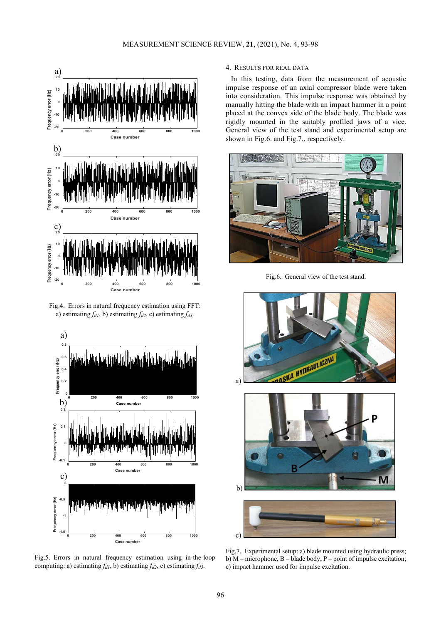

Fig.4. Errors in natural frequency estimation using FFT: a) estimating  $f_{d1}$ , b) estimating  $f_{d2}$ , c) estimating  $f_{d3}$ .



Fig.5. Errors in natural frequency estimation using in-the-loop computing: a) estimating  $f_{d1}$ , b) estimating  $f_{d2}$ , c) estimating  $f_{d3}$ .

# 4. RESULTS FOR REAL DATA

In this testing, data from the measurement of acoustic impulse response of an axial compressor blade were taken into consideration. This impulse response was obtained by manually hitting the blade with an impact hammer in a point placed at the convex side of the blade body. The blade was rigidly mounted in the suitably profiled jaws of a vice. General view of the test stand and experimental setup are shown in Fig.6. and Fig.7., respectively.



Fig.6. General view of the test stand.



Fig.7. Experimental setup: a) blade mounted using hydraulic press; b) M – microphone, B – blade body, P – point of impulse excitation; c) impact hammer used for impulse excitation.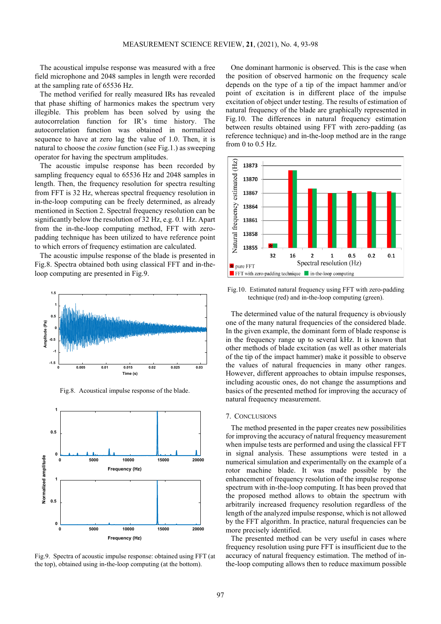The acoustical impulse response was measured with a free field microphone and 2048 samples in length were recorded at the sampling rate of 65536 Hz.

The method verified for really measured IRs has revealed that phase shifting of harmonics makes the spectrum very illegible. This problem has been solved by using the autocorrelation function for IR's time history. The autocorrelation function was obtained in normalized sequence to have at zero lag the value of 1.0. Then, it is natural to choose the *cosine* function (see Fig.1.) as sweeping operator for having the spectrum amplitudes.

The acoustic impulse response has been recorded by sampling frequency equal to 65536 Hz and 2048 samples in length. Then, the frequency resolution for spectra resulting from FFT is 32 Hz, whereas spectral frequency resolution in in-the-loop computing can be freely determined, as already mentioned in Section 2. Spectral frequency resolution can be significantly below the resolution of 32 Hz, e.g. 0.1 Hz. Apart from the in-the-loop computing method, FFT with zeropadding technique has been utilized to have reference point to which errors of frequency estimation are calculated.

The acoustic impulse response of the blade is presented in Fig.8. Spectra obtained both using classical FFT and in-theloop computing are presented in Fig.9.



Fig.8. Acoustical impulse response of the blade.



Fig.9. Spectra of acoustic impulse response: obtained using FFT (at the top), obtained using in-the-loop computing (at the bottom).

One dominant harmonic is observed. This is the case when the position of observed harmonic on the frequency scale depends on the type of a tip of the impact hammer and/or point of excitation is in different place of the impulse excitation of object under testing. The results of estimation of natural frequency of the blade are graphically represented in Fig.10. The differences in natural frequency estimation between results obtained using FFT with zero-padding (as reference technique) and in-the-loop method are in the range from 0 to 0.5 Hz.



Fig.10. Estimated natural frequency using FFT with zero-padding technique (red) and in-the-loop computing (green).

The determined value of the natural frequency is obviously one of the many natural frequencies of the considered blade. In the given example, the dominant form of blade response is in the frequency range up to several kHz. It is known that other methods of blade excitation (as well as other materials of the tip of the impact hammer) make it possible to observe the values of natural frequencies in many other ranges. However, different approaches to obtain impulse responses, including acoustic ones, do not change the assumptions and basics of the presented method for improving the accuracy of natural frequency measurement.

# 7. CONCLUSIONS

The method presented in the paper creates new possibilities for improving the accuracy of natural frequency measurement when impulse tests are performed and using the classical FFT in signal analysis. These assumptions were tested in a numerical simulation and experimentally on the example of a rotor machine blade. It was made possible by the enhancement of frequency resolution of the impulse response spectrum with in-the-loop computing. It has been proved that the proposed method allows to obtain the spectrum with arbitrarily increased frequency resolution regardless of the length of the analyzed impulse response, which is not allowed by the FFT algorithm. In practice, natural frequencies can be more precisely identified.

The presented method can be very useful in cases where frequency resolution using pure FFT is insufficient due to the accuracy of natural frequency estimation. The method of inthe-loop computing allows then to reduce maximum possible